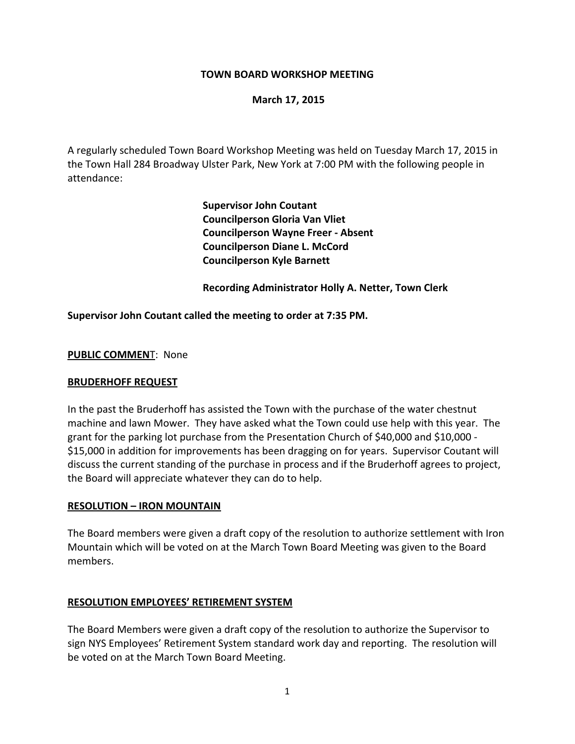## **TOWN BOARD WORKSHOP MEETING**

### **March 17, 2015**

A regularly scheduled Town Board Workshop Meeting was held on Tuesday March 17, 2015 in the Town Hall 284 Broadway Ulster Park, New York at 7:00 PM with the following people in attendance:

> **Supervisor John Coutant Councilperson Gloria Van Vliet Councilperson Wayne Freer ‐ Absent Councilperson Diane L. McCord Councilperson Kyle Barnett**

 **Recording Administrator Holly A. Netter, Town Clerk**

### **Supervisor John Coutant called the meeting to order at 7:35 PM.**

#### **PUBLIC COMMEN**T: None

#### **BRUDERHOFF REQUEST**

In the past the Bruderhoff has assisted the Town with the purchase of the water chestnut machine and lawn Mower. They have asked what the Town could use help with this year. The grant for the parking lot purchase from the Presentation Church of \$40,000 and \$10,000 ‐ \$15,000 in addition for improvements has been dragging on for years. Supervisor Coutant will discuss the current standing of the purchase in process and if the Bruderhoff agrees to project, the Board will appreciate whatever they can do to help.

#### **RESOLUTION – IRON MOUNTAIN**

The Board members were given a draft copy of the resolution to authorize settlement with Iron Mountain which will be voted on at the March Town Board Meeting was given to the Board members.

#### **RESOLUTION EMPLOYEES' RETIREMENT SYSTEM**

The Board Members were given a draft copy of the resolution to authorize the Supervisor to sign NYS Employees' Retirement System standard work day and reporting. The resolution will be voted on at the March Town Board Meeting.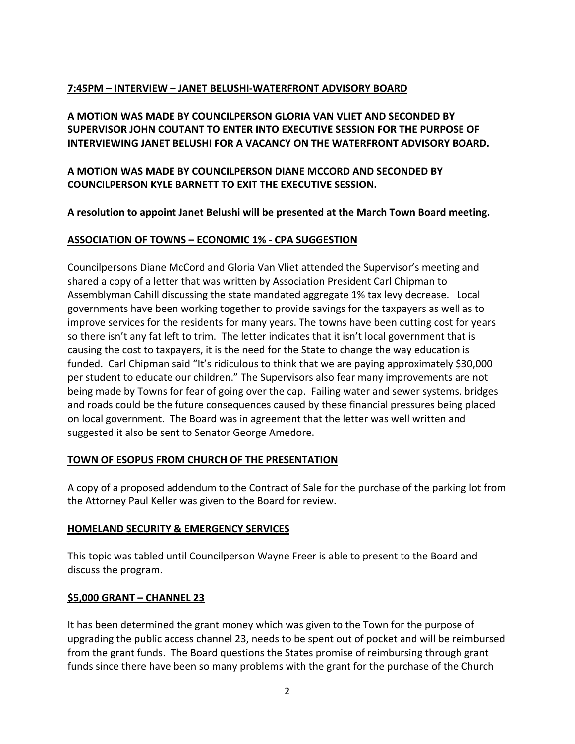# **7:45PM – INTERVIEW – JANET BELUSHI‐WATERFRONT ADVISORY BOARD**

**A MOTION WAS MADE BY COUNCILPERSON GLORIA VAN VLIET AND SECONDED BY SUPERVISOR JOHN COUTANT TO ENTER INTO EXECUTIVE SESSION FOR THE PURPOSE OF INTERVIEWING JANET BELUSHI FOR A VACANCY ON THE WATERFRONT ADVISORY BOARD.** 

**A MOTION WAS MADE BY COUNCILPERSON DIANE MCCORD AND SECONDED BY COUNCILPERSON KYLE BARNETT TO EXIT THE EXECUTIVE SESSION.** 

**A resolution to appoint Janet Belushi will be presented at the March Town Board meeting.** 

# **ASSOCIATION OF TOWNS – ECONOMIC 1% ‐ CPA SUGGESTION**

Councilpersons Diane McCord and Gloria Van Vliet attended the Supervisor's meeting and shared a copy of a letter that was written by Association President Carl Chipman to Assemblyman Cahill discussing the state mandated aggregate 1% tax levy decrease. Local governments have been working together to provide savings for the taxpayers as well as to improve services for the residents for many years. The towns have been cutting cost for years so there isn't any fat left to trim. The letter indicates that it isn't local government that is causing the cost to taxpayers, it is the need for the State to change the way education is funded. Carl Chipman said "It's ridiculous to think that we are paying approximately \$30,000 per student to educate our children." The Supervisors also fear many improvements are not being made by Towns for fear of going over the cap. Failing water and sewer systems, bridges and roads could be the future consequences caused by these financial pressures being placed on local government. The Board was in agreement that the letter was well written and suggested it also be sent to Senator George Amedore.

## **TOWN OF ESOPUS FROM CHURCH OF THE PRESENTATION**

A copy of a proposed addendum to the Contract of Sale for the purchase of the parking lot from the Attorney Paul Keller was given to the Board for review.

## **HOMELAND SECURITY & EMERGENCY SERVICES**

This topic was tabled until Councilperson Wayne Freer is able to present to the Board and discuss the program.

## **\$5,000 GRANT – CHANNEL 23**

It has been determined the grant money which was given to the Town for the purpose of upgrading the public access channel 23, needs to be spent out of pocket and will be reimbursed from the grant funds. The Board questions the States promise of reimbursing through grant funds since there have been so many problems with the grant for the purchase of the Church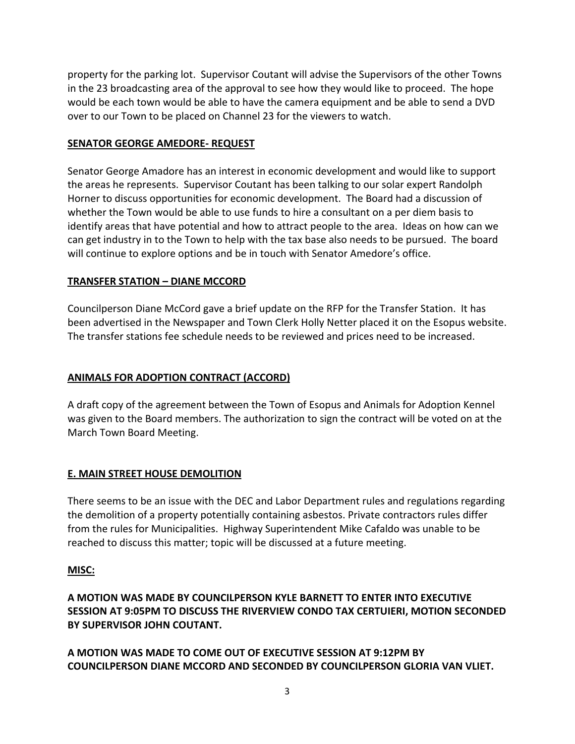property for the parking lot. Supervisor Coutant will advise the Supervisors of the other Towns in the 23 broadcasting area of the approval to see how they would like to proceed. The hope would be each town would be able to have the camera equipment and be able to send a DVD over to our Town to be placed on Channel 23 for the viewers to watch.

## **SENATOR GEORGE AMEDORE‐ REQUEST**

Senator George Amadore has an interest in economic development and would like to support the areas he represents. Supervisor Coutant has been talking to our solar expert Randolph Horner to discuss opportunities for economic development. The Board had a discussion of whether the Town would be able to use funds to hire a consultant on a per diem basis to identify areas that have potential and how to attract people to the area. Ideas on how can we can get industry in to the Town to help with the tax base also needs to be pursued. The board will continue to explore options and be in touch with Senator Amedore's office.

## **TRANSFER STATION – DIANE MCCORD**

Councilperson Diane McCord gave a brief update on the RFP for the Transfer Station. It has been advertised in the Newspaper and Town Clerk Holly Netter placed it on the Esopus website. The transfer stations fee schedule needs to be reviewed and prices need to be increased.

## **ANIMALS FOR ADOPTION CONTRACT (ACCORD)**

A draft copy of the agreement between the Town of Esopus and Animals for Adoption Kennel was given to the Board members. The authorization to sign the contract will be voted on at the March Town Board Meeting.

# **E. MAIN STREET HOUSE DEMOLITION**

There seems to be an issue with the DEC and Labor Department rules and regulations regarding the demolition of a property potentially containing asbestos. Private contractors rules differ from the rules for Municipalities. Highway Superintendent Mike Cafaldo was unable to be reached to discuss this matter; topic will be discussed at a future meeting.

## **MISC:**

**A MOTION WAS MADE BY COUNCILPERSON KYLE BARNETT TO ENTER INTO EXECUTIVE SESSION AT 9:05PM TO DISCUSS THE RIVERVIEW CONDO TAX CERTUIERI, MOTION SECONDED BY SUPERVISOR JOHN COUTANT.** 

**A MOTION WAS MADE TO COME OUT OF EXECUTIVE SESSION AT 9:12PM BY COUNCILPERSON DIANE MCCORD AND SECONDED BY COUNCILPERSON GLORIA VAN VLIET.**